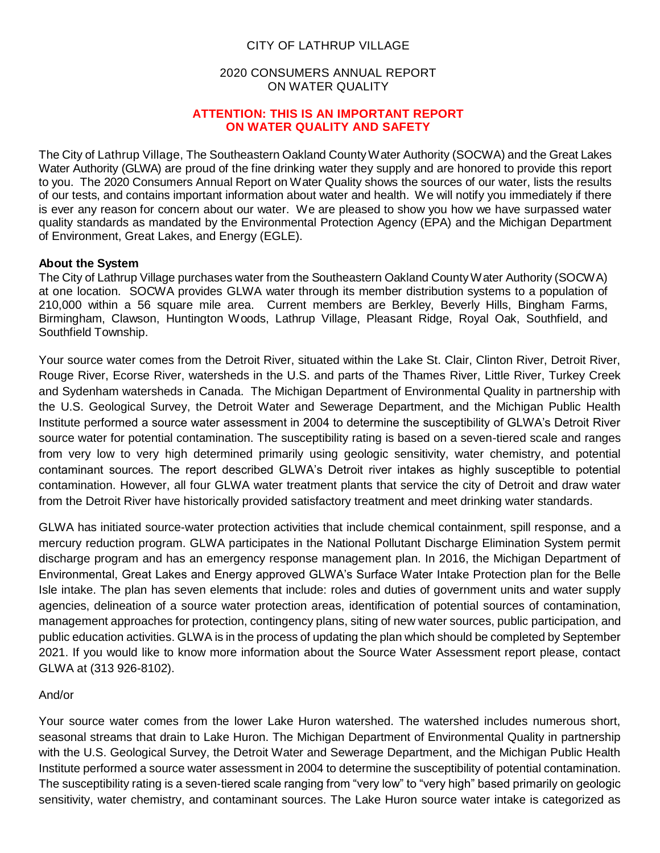### CITY OF LATHRUP VILLAGE

### 2020 CONSUMERS ANNUAL REPORT ON WATER QUALITY

#### **ATTENTION: THIS IS AN IMPORTANT REPORT ON WATER QUALITY AND SAFETY**

The City of Lathrup Village, The Southeastern Oakland CountyWater Authority (SOCWA) and the Great Lakes Water Authority (GLWA) are proud of the fine drinking water they supply and are honored to provide this report to you. The 2020 Consumers Annual Report on Water Quality shows the sources of our water, lists the results of our tests, and contains important information about water and health. We will notify you immediately if there is ever any reason for concern about our water. We are pleased to show you how we have surpassed water quality standards as mandated by the Environmental Protection Agency (EPA) and the Michigan Department of Environment, Great Lakes, and Energy (EGLE).

#### **About the System**

The City of Lathrup Village purchases water from the Southeastern Oakland County Water Authority (SOCWA) at one location. SOCWA provides GLWA water through its member distribution systems to a population of 210,000 within a 56 square mile area. Current members are Berkley, Beverly Hills, Bingham Farms, Birmingham, Clawson, Huntington Woods, Lathrup Village, Pleasant Ridge, Royal Oak, Southfield, and Southfield Township.

Your source water comes from the Detroit River, situated within the Lake St. Clair, Clinton River, Detroit River, Rouge River, Ecorse River, watersheds in the U.S. and parts of the Thames River, Little River, Turkey Creek and Sydenham watersheds in Canada. The Michigan Department of Environmental Quality in partnership with the U.S. Geological Survey, the Detroit Water and Sewerage Department, and the Michigan Public Health Institute performed a source water assessment in 2004 to determine the susceptibility of GLWA's Detroit River source water for potential contamination. The susceptibility rating is based on a seven-tiered scale and ranges from very low to very high determined primarily using geologic sensitivity, water chemistry, and potential contaminant sources. The report described GLWA's Detroit river intakes as highly susceptible to potential contamination. However, all four GLWA water treatment plants that service the city of Detroit and draw water from the Detroit River have historically provided satisfactory treatment and meet drinking water standards.

GLWA has initiated source-water protection activities that include chemical containment, spill response, and a mercury reduction program. GLWA participates in the National Pollutant Discharge Elimination System permit discharge program and has an emergency response management plan. In 2016, the Michigan Department of Environmental, Great Lakes and Energy approved GLWA's Surface Water Intake Protection plan for the Belle Isle intake. The plan has seven elements that include: roles and duties of government units and water supply agencies, delineation of a source water protection areas, identification of potential sources of contamination, management approaches for protection, contingency plans, siting of new water sources, public participation, and public education activities. GLWA is in the process of updating the plan which should be completed by September 2021. If you would like to know more information about the Source Water Assessment report please, contact GLWA at (313 926-8102).

### And/or

Your source water comes from the lower Lake Huron watershed. The watershed includes numerous short, seasonal streams that drain to Lake Huron. The Michigan Department of Environmental Quality in partnership with the U.S. Geological Survey, the Detroit Water and Sewerage Department, and the Michigan Public Health Institute performed a source water assessment in 2004 to determine the susceptibility of potential contamination. The susceptibility rating is a seven-tiered scale ranging from "very low" to "very high" based primarily on geologic sensitivity, water chemistry, and contaminant sources. The Lake Huron source water intake is categorized as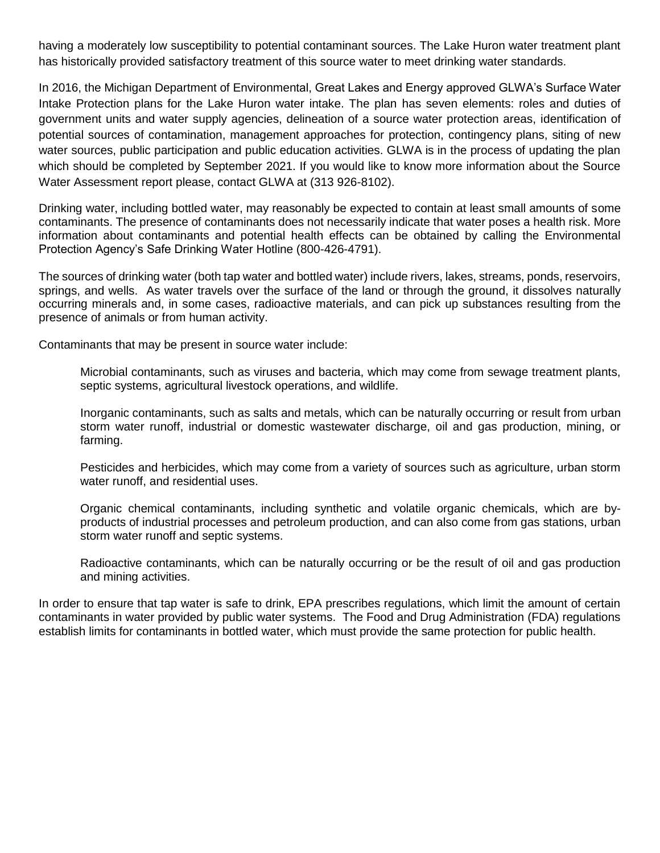having a moderately low susceptibility to potential contaminant sources. The Lake Huron water treatment plant has historically provided satisfactory treatment of this source water to meet drinking water standards.

In 2016, the Michigan Department of Environmental, Great Lakes and Energy approved GLWA's Surface Water Intake Protection plans for the Lake Huron water intake. The plan has seven elements: roles and duties of government units and water supply agencies, delineation of a source water protection areas, identification of potential sources of contamination, management approaches for protection, contingency plans, siting of new water sources, public participation and public education activities. GLWA is in the process of updating the plan which should be completed by September 2021. If you would like to know more information about the Source Water Assessment report please, contact GLWA at (313 926-8102).

Drinking water, including bottled water, may reasonably be expected to contain at least small amounts of some contaminants. The presence of contaminants does not necessarily indicate that water poses a health risk. More information about contaminants and potential health effects can be obtained by calling the Environmental Protection Agency's Safe Drinking Water Hotline (800-426-4791).

The sources of drinking water (both tap water and bottled water) include rivers, lakes, streams, ponds, reservoirs, springs, and wells. As water travels over the surface of the land or through the ground, it dissolves naturally occurring minerals and, in some cases, radioactive materials, and can pick up substances resulting from the presence of animals or from human activity.

Contaminants that may be present in source water include:

Microbial contaminants, such as viruses and bacteria, which may come from sewage treatment plants, septic systems, agricultural livestock operations, and wildlife.

Inorganic contaminants, such as salts and metals, which can be naturally occurring or result from urban storm water runoff, industrial or domestic wastewater discharge, oil and gas production, mining, or farming.

Pesticides and herbicides, which may come from a variety of sources such as agriculture, urban storm water runoff, and residential uses.

Organic chemical contaminants, including synthetic and volatile organic chemicals, which are byproducts of industrial processes and petroleum production, and can also come from gas stations, urban storm water runoff and septic systems.

Radioactive contaminants, which can be naturally occurring or be the result of oil and gas production and mining activities.

In order to ensure that tap water is safe to drink, EPA prescribes regulations, which limit the amount of certain contaminants in water provided by public water systems. The Food and Drug Administration (FDA) regulations establish limits for contaminants in bottled water, which must provide the same protection for public health.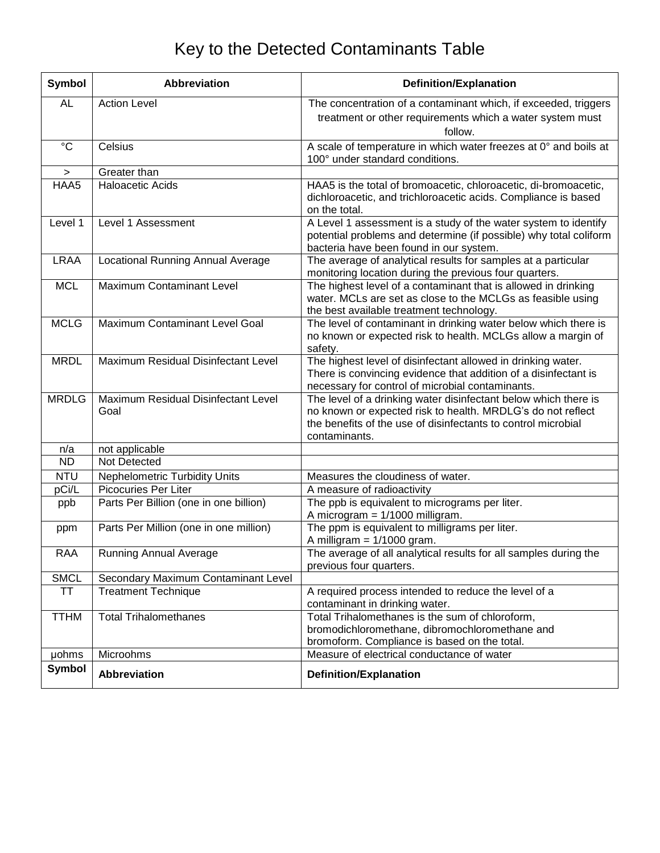# Key to the Detected Contaminants Table

| <b>Symbol</b>    | <b>Abbreviation</b>                         | <b>Definition/Explanation</b>                                                                                                                                                                                    |
|------------------|---------------------------------------------|------------------------------------------------------------------------------------------------------------------------------------------------------------------------------------------------------------------|
| <b>AL</b>        | <b>Action Level</b>                         | The concentration of a contaminant which, if exceeded, triggers<br>treatment or other requirements which a water system must<br>follow.                                                                          |
| $\rm ^{\circ}C$  | Celsius                                     | A scale of temperature in which water freezes at 0° and boils at<br>100° under standard conditions.                                                                                                              |
| $\geq$           | Greater than                                |                                                                                                                                                                                                                  |
| HAA <sub>5</sub> | <b>Haloacetic Acids</b>                     | HAA5 is the total of bromoacetic, chloroacetic, di-bromoacetic,<br>dichloroacetic, and trichloroacetic acids. Compliance is based<br>on the total.                                                               |
| Level 1          | Level 1 Assessment                          | A Level 1 assessment is a study of the water system to identify<br>potential problems and determine (if possible) why total coliform<br>bacteria have been found in our system.                                  |
| <b>LRAA</b>      | <b>Locational Running Annual Average</b>    | The average of analytical results for samples at a particular<br>monitoring location during the previous four quarters.                                                                                          |
| <b>MCL</b>       | Maximum Contaminant Level                   | The highest level of a contaminant that is allowed in drinking<br>water. MCLs are set as close to the MCLGs as feasible using<br>the best available treatment technology.                                        |
| <b>MCLG</b>      | Maximum Contaminant Level Goal              | The level of contaminant in drinking water below which there is<br>no known or expected risk to health. MCLGs allow a margin of<br>safety.                                                                       |
| <b>MRDL</b>      | Maximum Residual Disinfectant Level         | The highest level of disinfectant allowed in drinking water.<br>There is convincing evidence that addition of a disinfectant is<br>necessary for control of microbial contaminants.                              |
| <b>MRDLG</b>     | Maximum Residual Disinfectant Level<br>Goal | The level of a drinking water disinfectant below which there is<br>no known or expected risk to health. MRDLG's do not reflect<br>the benefits of the use of disinfectants to control microbial<br>contaminants. |
| n/a              | not applicable                              |                                                                                                                                                                                                                  |
| <b>ND</b>        | Not Detected                                |                                                                                                                                                                                                                  |
| <b>NTU</b>       | <b>Nephelometric Turbidity Units</b>        | Measures the cloudiness of water.                                                                                                                                                                                |
| pCi/L            | Picocuries Per Liter                        | A measure of radioactivity                                                                                                                                                                                       |
| ppb              | Parts Per Billion (one in one billion)      | The ppb is equivalent to micrograms per liter.<br>A microgram $= 1/1000$ milligram.                                                                                                                              |
| ppm              | Parts Per Million (one in one million)      | The ppm is equivalent to milligrams per liter.<br>A milligram $=$ 1/1000 gram.                                                                                                                                   |
| <b>RAA</b>       | <b>Running Annual Average</b>               | The average of all analytical results for all samples during the<br>previous four quarters.                                                                                                                      |
| <b>SMCL</b>      | Secondary Maximum Contaminant Level         |                                                                                                                                                                                                                  |
| <b>TT</b>        | <b>Treatment Technique</b>                  | A required process intended to reduce the level of a<br>contaminant in drinking water.                                                                                                                           |
| <b>TTHM</b>      | <b>Total Trihalomethanes</b>                | Total Trihalomethanes is the sum of chloroform,<br>bromodichloromethane, dibromochloromethane and<br>bromoform. Compliance is based on the total.                                                                |
| <b>µohms</b>     | Microohms                                   | Measure of electrical conductance of water                                                                                                                                                                       |
| <b>Symbol</b>    | <b>Abbreviation</b>                         | <b>Definition/Explanation</b>                                                                                                                                                                                    |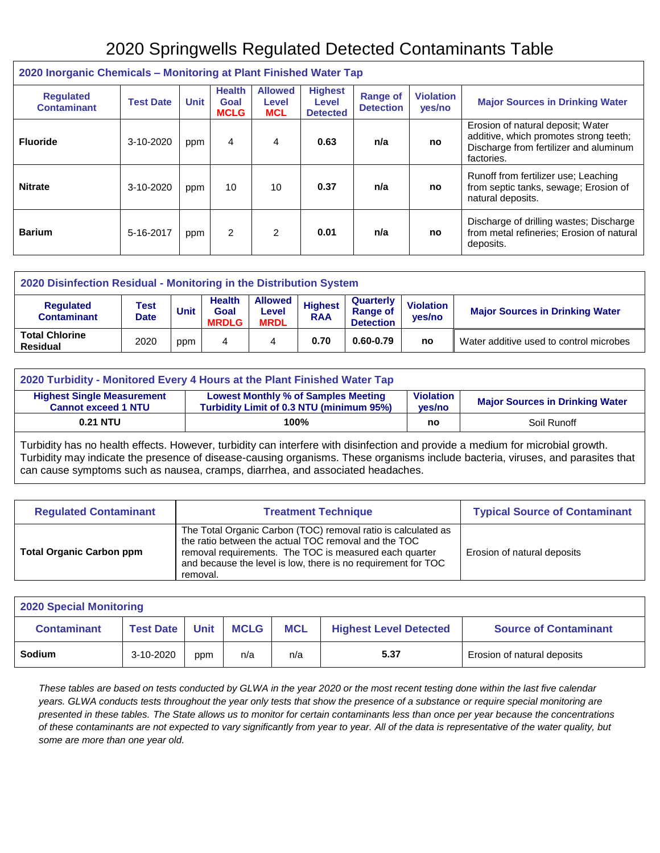### 2020 Springwells Regulated Detected Contaminants Table

| <b>EVED INDIVIDUAL CHUINNAIS</b> INDIANOING AT RAIN I MONOG HANDI TAP |                  |             |                                      |                                       |                                            |                                     |                            |                                                                                                                                     |  |
|-----------------------------------------------------------------------|------------------|-------------|--------------------------------------|---------------------------------------|--------------------------------------------|-------------------------------------|----------------------------|-------------------------------------------------------------------------------------------------------------------------------------|--|
| <b>Requlated</b><br><b>Contaminant</b>                                | <b>Test Date</b> | <b>Unit</b> | <b>Health</b><br>Goal<br><b>MCLG</b> | <b>Allowed</b><br>Level<br><b>MCL</b> | <b>Highest</b><br>Level<br><b>Detected</b> | <b>Range of</b><br><b>Detection</b> | <b>Violation</b><br>yes/no | <b>Major Sources in Drinking Water</b>                                                                                              |  |
| <b>Fluoride</b>                                                       | 3-10-2020        | ppm         | 4                                    | 4                                     | 0.63                                       | n/a                                 | no                         | Erosion of natural deposit; Water<br>additive, which promotes strong teeth;<br>Discharge from fertilizer and aluminum<br>factories. |  |
| <b>Nitrate</b>                                                        | 3-10-2020        | ppm         | 10                                   | 10                                    | 0.37                                       | n/a                                 | no                         | Runoff from fertilizer use; Leaching<br>from septic tanks, sewage; Erosion of<br>natural deposits.                                  |  |
| <b>Barium</b>                                                         | 5-16-2017        | ppm         | $\overline{2}$                       | $\overline{2}$                        | 0.01                                       | n/a                                 | no                         | Discharge of drilling wastes; Discharge<br>from metal refineries; Erosion of natural<br>deposits.                                   |  |

### **2020 Inorganic Chemicals – Monitoring at Plant Finished Water Tap**

| 2020 Disinfection Residual - Monitoring in the Distribution System                                                                                                                                                                                                         |      |     |   |   |      |           |                                        |                                         |  |  |
|----------------------------------------------------------------------------------------------------------------------------------------------------------------------------------------------------------------------------------------------------------------------------|------|-----|---|---|------|-----------|----------------------------------------|-----------------------------------------|--|--|
| <b>Allowed</b><br><b>Health</b><br>Quarterly<br><b>Highest</b><br><b>Violation</b><br><b>Regulated</b><br>Test<br>Unit<br><b>Range of</b><br>Goal<br>Level<br><b>RAA</b><br><b>Contaminant</b><br>yes/no<br><b>Date</b><br><b>MRDL</b><br><b>Detection</b><br><b>MRDLG</b> |      |     |   |   |      |           | <b>Major Sources in Drinking Water</b> |                                         |  |  |
| <b>Total Chlorine</b><br><b>Residual</b>                                                                                                                                                                                                                                   | 2020 | ppm | 4 | 4 | 0.70 | 0.60-0.79 | no                                     | Water additive used to control microbes |  |  |

| 2020 Turbidity - Monitored Every 4 Hours at the Plant Finished Water Tap                                                                                                                                                          |      |    |             |  |  |  |  |  |  |
|-----------------------------------------------------------------------------------------------------------------------------------------------------------------------------------------------------------------------------------|------|----|-------------|--|--|--|--|--|--|
| <b>Violation</b><br><b>Highest Single Measurement</b><br><b>Lowest Monthly % of Samples Meeting</b><br><b>Major Sources in Drinking Water</b><br>Turbidity Limit of 0.3 NTU (minimum 95%)<br><b>Cannot exceed 1 NTU</b><br>ves/no |      |    |             |  |  |  |  |  |  |
| 0.21 NTU                                                                                                                                                                                                                          | 100% | no | Soil Runoff |  |  |  |  |  |  |

Turbidity has no health effects. However, turbidity can interfere with disinfection and provide a medium for microbial growth. Turbidity may indicate the presence of disease-causing organisms. These organisms include bacteria, viruses, and parasites that can cause symptoms such as nausea, cramps, diarrhea, and associated headaches.

| <b>Regulated Contaminant</b>    | <b>Treatment Technique</b>                                                                                                                                                                                                                                   | <b>Typical Source of Contaminant</b> |
|---------------------------------|--------------------------------------------------------------------------------------------------------------------------------------------------------------------------------------------------------------------------------------------------------------|--------------------------------------|
| <b>Total Organic Carbon ppm</b> | The Total Organic Carbon (TOC) removal ratio is calculated as<br>the ratio between the actual TOC removal and the TOC<br>removal requirements. The TOC is measured each quarter<br>and because the level is low, there is no requirement for TOC<br>removal. | Erosion of natural deposits          |

| <b>2020 Special Monitoring</b> |                  |             |             |            |                               |                              |  |  |  |
|--------------------------------|------------------|-------------|-------------|------------|-------------------------------|------------------------------|--|--|--|
| <b>Contaminant</b>             | <b>Test Date</b> | <b>Unit</b> | <b>MCLG</b> | <b>MCL</b> | <b>Highest Level Detected</b> | <b>Source of Contaminant</b> |  |  |  |
| Sodium                         | 3-10-2020        | ppm         | n/a         | n/a        | 5.37                          | Erosion of natural deposits  |  |  |  |

*These tables are based on tests conducted by GLWA in the year 2020 or the most recent testing done within the last five calendar years. GLWA conducts tests throughout the year only tests that show the presence of a substance or require special monitoring are presented in these tables. The State allows us to monitor for certain contaminants less than once per year because the concentrations of these contaminants are not expected to vary significantly from year to year. All of the data is representative of the water quality, but some are more than one year old.*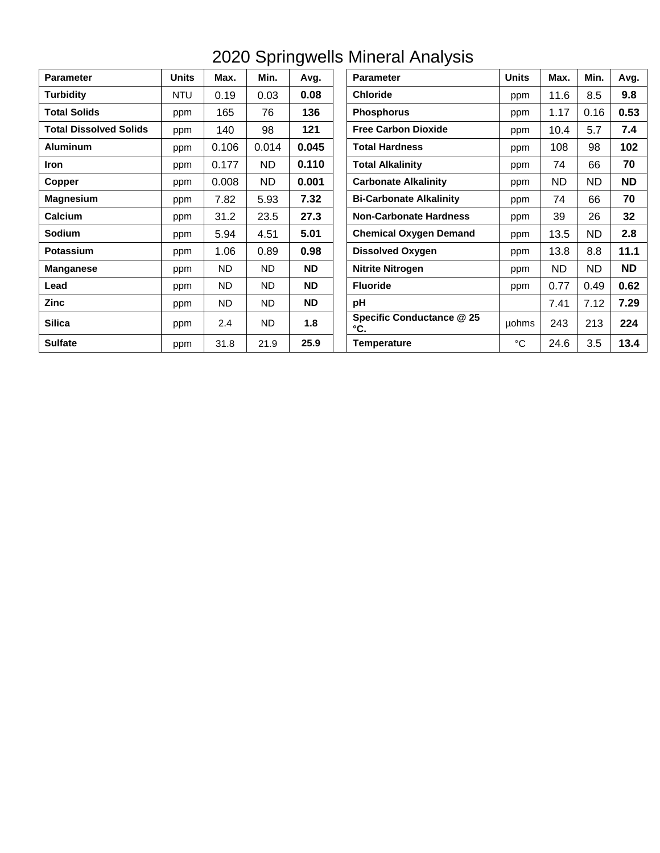| <b>Parameter</b>              | <b>Units</b> | Max.  | Min.  | Avg.      | <b>Parameter</b>                 | <b>Units</b> | Max.      | Min.      | Avg.      |
|-------------------------------|--------------|-------|-------|-----------|----------------------------------|--------------|-----------|-----------|-----------|
| <b>Turbidity</b>              | <b>NTU</b>   | 0.19  | 0.03  | 0.08      | <b>Chloride</b>                  | ppm          | 11.6      | 8.5       | 9.8       |
| <b>Total Solids</b>           | ppm          | 165   | 76    | 136       | <b>Phosphorus</b>                | ppm          | 1.17      | 0.16      | 0.53      |
| <b>Total Dissolved Solids</b> | ppm          | 140   | 98    | 121       | <b>Free Carbon Dioxide</b>       | ppm          | 10.4      | 5.7       | 7.4       |
| <b>Aluminum</b>               | ppm          | 0.106 | 0.014 | 0.045     | <b>Total Hardness</b>            | ppm          | 108       | 98        | 102       |
| <b>Iron</b>                   | ppm          | 0.177 | ND.   | 0.110     | <b>Total Alkalinity</b>          | ppm          | 74        | 66        | 70        |
| Copper                        | ppm          | 0.008 | ND.   | 0.001     | <b>Carbonate Alkalinity</b>      | ppm          | <b>ND</b> | <b>ND</b> | <b>ND</b> |
| <b>Magnesium</b>              | ppm          | 7.82  | 5.93  | 7.32      | <b>Bi-Carbonate Alkalinity</b>   | ppm          | 74        | 66        | 70        |
| Calcium                       | ppm          | 31.2  | 23.5  | 27.3      | <b>Non-Carbonate Hardness</b>    | ppm          | 39        | 26        | 32        |
| <b>Sodium</b>                 | ppm          | 5.94  | 4.51  | 5.01      | <b>Chemical Oxygen Demand</b>    | ppm          | 13.5      | <b>ND</b> | 2.8       |
| <b>Potassium</b>              | ppm          | 1.06  | 0.89  | 0.98      | <b>Dissolved Oxygen</b>          | ppm          | 13.8      | 8.8       | 11.1      |
| <b>Manganese</b>              | ppm          | ND.   | ND.   | <b>ND</b> | <b>Nitrite Nitrogen</b>          | ppm          | <b>ND</b> | ND.       | <b>ND</b> |
| Lead                          | ppm          | ND.   | ND.   | <b>ND</b> | <b>Fluoride</b>                  | ppm          | 0.77      | 0.49      | 0.62      |
| <b>Zinc</b>                   | ppm          | ND.   | ND.   | <b>ND</b> | pH                               |              | 7.41      | 7.12      | 7.29      |
| <b>Silica</b>                 | ppm          | 2.4   | ND.   | 1.8       | Specific Conductance @ 25<br>°C. | uohms        | 243       | 213       | 224       |
| <b>Sulfate</b>                | ppm          | 31.8  | 21.9  | 25.9      | <b>Temperature</b>               | $^{\circ}C$  | 24.6      | 3.5       | 13.4      |

## 2020 Springwells Mineral Analysis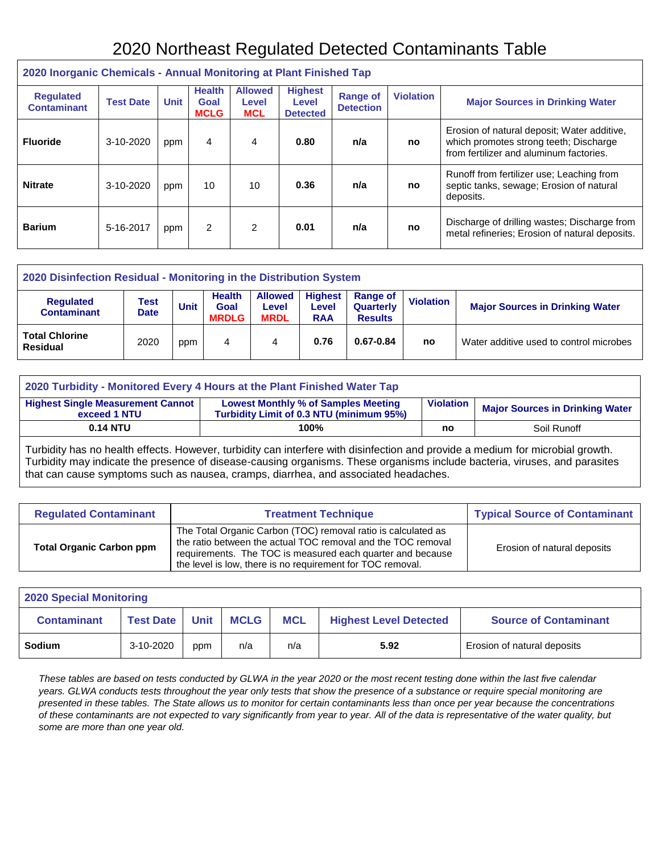### 2020 Northeast Regulated Detected Contaminants Table

| 2020 Inorganic Chemicals - Annual Monitoring at Plant Finished Tap |                  |             |                                      |                                       |                                            |                                     |                  |                                                                                                                                  |  |
|--------------------------------------------------------------------|------------------|-------------|--------------------------------------|---------------------------------------|--------------------------------------------|-------------------------------------|------------------|----------------------------------------------------------------------------------------------------------------------------------|--|
| <b>Regulated</b><br><b>Contaminant</b>                             | <b>Test Date</b> | <b>Unit</b> | <b>Health</b><br>Goal<br><b>MCLG</b> | <b>Allowed</b><br>Level<br><b>MCL</b> | <b>Highest</b><br>Level<br><b>Detected</b> | <b>Range of</b><br><b>Detection</b> | <b>Violation</b> | <b>Major Sources in Drinking Water</b>                                                                                           |  |
| <b>Fluoride</b>                                                    | 3-10-2020        | ppm         | 4                                    | 4                                     | 0.80                                       | n/a                                 | no               | Erosion of natural deposit; Water additive,<br>which promotes strong teeth; Discharge<br>from fertilizer and aluminum factories. |  |
| <b>Nitrate</b>                                                     | 3-10-2020        | ppm         | 10                                   | 10                                    | 0.36                                       | n/a                                 | no               | Runoff from fertilizer use: Leaching from<br>septic tanks, sewage; Erosion of natural<br>deposits.                               |  |
| <b>Barium</b>                                                      | 5-16-2017        | ppm         | 2                                    | 2                                     | 0.01                                       | n/a                                 | no               | Discharge of drilling wastes; Discharge from<br>metal refineries; Erosion of natural deposits.                                   |  |

| 2020 Disinfection Residual - Monitoring in the Distribution System |                     |      |                                       |                                        |                                              |                                         |                  |                                         |  |
|--------------------------------------------------------------------|---------------------|------|---------------------------------------|----------------------------------------|----------------------------------------------|-----------------------------------------|------------------|-----------------------------------------|--|
| <b>Regulated</b><br><b>Contaminant</b>                             | Test<br><b>Date</b> | Unit | <b>Health</b><br>Goal<br><b>MRDLG</b> | <b>Allowed</b><br>Level<br><b>MRDL</b> | <b>Highest</b><br><b>Level</b><br><b>RAA</b> | Range of<br>Quarterly<br><b>Results</b> | <b>Violation</b> | <b>Major Sources in Drinking Water</b>  |  |
| <b>Total Chlorine</b><br><b>Residual</b>                           | 2020                | ppm  | 4                                     | 4                                      | 0.76                                         | $0.67 - 0.84$                           | no               | Water additive used to control microbes |  |

| 2020 Turbidity - Monitored Every 4 Hours at the Plant Finished Water Tap                                                                                                                                         |      |    |             |  |  |  |  |  |
|------------------------------------------------------------------------------------------------------------------------------------------------------------------------------------------------------------------|------|----|-------------|--|--|--|--|--|
| <b>Highest Single Measurement Cannot</b><br><b>Lowest Monthly % of Samples Meeting</b><br><b>Violation</b><br><b>Major Sources in Drinking Water</b><br>Turbidity Limit of 0.3 NTU (minimum 95%)<br>exceed 1 NTU |      |    |             |  |  |  |  |  |
| 0.14 NTU                                                                                                                                                                                                         | 100% | no | Soil Runoff |  |  |  |  |  |
|                                                                                                                                                                                                                  |      |    |             |  |  |  |  |  |

Turbidity has no health effects. However, turbidity can interfere with disinfection and provide a medium for microbial growth. Turbidity may indicate the presence of disease-causing organisms. These organisms include bacteria, viruses, and parasites that can cause symptoms such as nausea, cramps, diarrhea, and associated headaches.

| <b>Regulated Contaminant</b>    | <b>Treatment Technique</b>                                                                                                                                                                                                                                | <b>Typical Source of Contaminant</b> |
|---------------------------------|-----------------------------------------------------------------------------------------------------------------------------------------------------------------------------------------------------------------------------------------------------------|--------------------------------------|
| <b>Total Organic Carbon ppm</b> | The Total Organic Carbon (TOC) removal ratio is calculated as<br>the ratio between the actual TOC removal and the TOC removal<br>requirements. The TOC is measured each quarter and because<br>the level is low, there is no requirement for TOC removal. | Erosion of natural deposits          |

| <b>2020 Special Monitoring</b>                                                                                                                      |           |     |     |     |      |                             |  |  |  |
|-----------------------------------------------------------------------------------------------------------------------------------------------------|-----------|-----|-----|-----|------|-----------------------------|--|--|--|
| <b>MCLG</b><br><b>MCL</b><br><b>Unit</b><br><b>Source of Contaminant</b><br><b>Contaminant</b><br><b>Highest Level Detected</b><br><b>Test Date</b> |           |     |     |     |      |                             |  |  |  |
| <b>Sodium</b>                                                                                                                                       | 3-10-2020 | ppm | n/a | n/a | 5.92 | Erosion of natural deposits |  |  |  |

*These tables are based on tests conducted by GLWA in the year 2020 or the most recent testing done within the last five calendar years. GLWA conducts tests throughout the year only tests that show the presence of a substance or require special monitoring are presented in these tables. The State allows us to monitor for certain contaminants less than once per year because the concentrations of these contaminants are not expected to vary significantly from year to year. All of the data is representative of the water quality, but some are more than one year old.*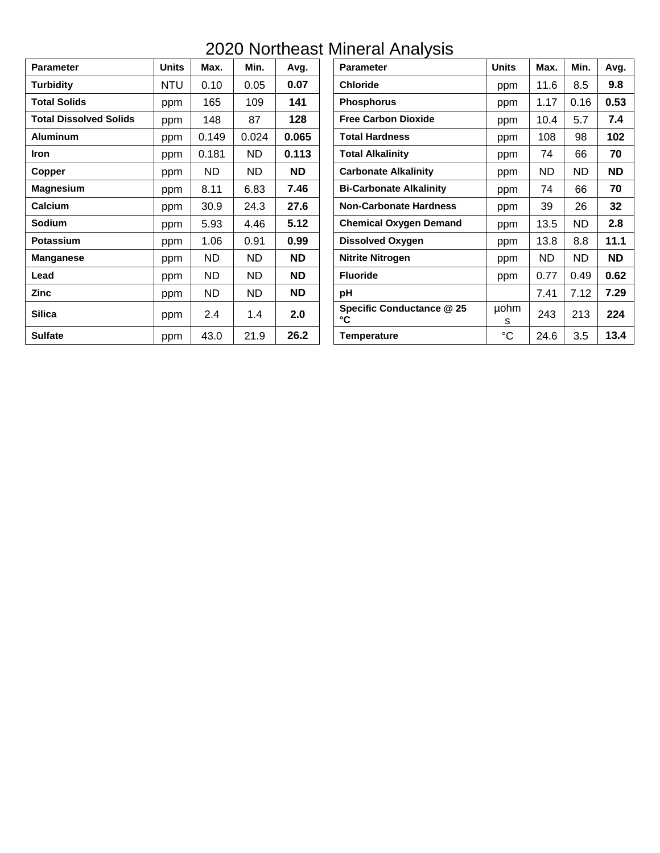### 2020 Northeast Mineral Analysis

| <b>Parameter</b>              | <b>Units</b> | Max.      | Min.      | Avg.      | <b>Parameter</b>                | <b>Units</b>     | Max.      | Min.      | Avg.      |
|-------------------------------|--------------|-----------|-----------|-----------|---------------------------------|------------------|-----------|-----------|-----------|
| Turbidity                     | <b>NTU</b>   | 0.10      | 0.05      | 0.07      | <b>Chloride</b>                 | ppm              | 11.6      | 8.5       | 9.8       |
| <b>Total Solids</b>           | ppm          | 165       | 109       | 141       | <b>Phosphorus</b>               | ppm              | 1.17      | 0.16      | 0.53      |
| <b>Total Dissolved Solids</b> | ppm          | 148       | 87        | 128       | <b>Free Carbon Dioxide</b>      | ppm              | 10.4      | 5.7       | 7.4       |
| <b>Aluminum</b>               | ppm          | 0.149     | 0.024     | 0.065     | <b>Total Hardness</b>           | ppm              | 108       | 98        | 102       |
| <b>Iron</b>                   | ppm          | 0.181     | ND        | 0.113     | <b>Total Alkalinity</b>         | ppm              | 74        | 66        | 70        |
| Copper                        | ppm          | <b>ND</b> | <b>ND</b> | <b>ND</b> | <b>Carbonate Alkalinity</b>     | ppm              | <b>ND</b> | <b>ND</b> | <b>ND</b> |
| <b>Magnesium</b>              | ppm          | 8.11      | 6.83      | 7.46      | <b>Bi-Carbonate Alkalinity</b>  | ppm              | 74        | 66        | 70        |
| Calcium                       | ppm          | 30.9      | 24.3      | 27.6      | <b>Non-Carbonate Hardness</b>   | ppm              | 39        | 26        | 32        |
| <b>Sodium</b>                 | ppm          | 5.93      | 4.46      | 5.12      | <b>Chemical Oxygen Demand</b>   | ppm              | 13.5      | <b>ND</b> | 2.8       |
| <b>Potassium</b>              | ppm          | 1.06      | 0.91      | 0.99      | <b>Dissolved Oxygen</b>         | ppm              | 13.8      | 8.8       | 11.1      |
| <b>Manganese</b>              | ppm          | <b>ND</b> | <b>ND</b> | <b>ND</b> | <b>Nitrite Nitrogen</b>         | ppm              | <b>ND</b> | <b>ND</b> | <b>ND</b> |
| Lead                          | ppm          | ND.       | ND        | <b>ND</b> | <b>Fluoride</b>                 | ppm              | 0.77      | 0.49      | 0.62      |
| Zinc                          | ppm          | <b>ND</b> | <b>ND</b> | <b>ND</b> | рH                              |                  | 7.41      | 7.12      | 7.29      |
| <b>Silica</b>                 | ppm          | 2.4       | 1.4       | 2.0       | Specific Conductance @ 25<br>°C | <b>µohm</b><br>s | 243       | 213       | 224       |
| <b>Sulfate</b>                | ppm          | 43.0      | 21.9      | 26.2      | <b>Temperature</b>              | $^{\circ}C$      | 24.6      | 3.5       | 13.4      |

| <b>Units</b> | Max.      | Min.      | Avg.      | <b>Parameter</b>                | <b>Units</b> | Max.      | Min.      | Avg.      |
|--------------|-----------|-----------|-----------|---------------------------------|--------------|-----------|-----------|-----------|
| <b>NTU</b>   | 0.10      | 0.05      | 0.07      | <b>Chloride</b>                 | ppm          | 11.6      | 8.5       | 9.8       |
| ppm          | 165       | 109       | 141       | <b>Phosphorus</b>               | ppm          | 1.17      | 0.16      | 0.53      |
| ppm          | 148       | 87        | 128       | <b>Free Carbon Dioxide</b>      | ppm          | 10.4      | 5.7       | 7.4       |
| ppm          | 0.149     | 0.024     | 0.065     | <b>Total Hardness</b>           | ppm          | 108       | 98        | 102       |
| ppm          | 0.181     | <b>ND</b> | 0.113     | <b>Total Alkalinity</b>         | ppm          | 74        | 66        | 70        |
| ppm          | <b>ND</b> | <b>ND</b> | <b>ND</b> | <b>Carbonate Alkalinity</b>     | ppm          | <b>ND</b> | <b>ND</b> | <b>ND</b> |
| ppm          | 8.11      | 6.83      | 7.46      | <b>Bi-Carbonate Alkalinity</b>  | ppm          | 74        | 66        | 70        |
| ppm          | 30.9      | 24.3      | 27.6      | <b>Non-Carbonate Hardness</b>   | ppm          | 39        | 26        | 32        |
| ppm          | 5.93      | 4.46      | 5.12      | <b>Chemical Oxygen Demand</b>   | ppm          | 13.5      | <b>ND</b> | 2.8       |
| ppm          | 1.06      | 0.91      | 0.99      | <b>Dissolved Oxygen</b>         | ppm          | 13.8      | 8.8       | 11.1      |
| ppm          | <b>ND</b> | <b>ND</b> | <b>ND</b> | <b>Nitrite Nitrogen</b>         | ppm          | <b>ND</b> | <b>ND</b> | <b>ND</b> |
| ppm          | <b>ND</b> | <b>ND</b> | <b>ND</b> | <b>Fluoride</b>                 | ppm          | 0.77      | 0.49      | 0.62      |
| ppm          | <b>ND</b> | <b>ND</b> | <b>ND</b> | рH                              |              | 7.41      | 7.12      | 7.29      |
| ppm          | 2.4       | 1.4       | 2.0       | Specific Conductance @ 25<br>°C | µohm<br>s    | 243       | 213       | 224       |
| ppm          | 43.0      | 21.9      | 26.2      | <b>Temperature</b>              | $^{\circ}C$  | 24.6      | 3.5       | 13.4      |
|              |           |           |           |                                 |              |           |           |           |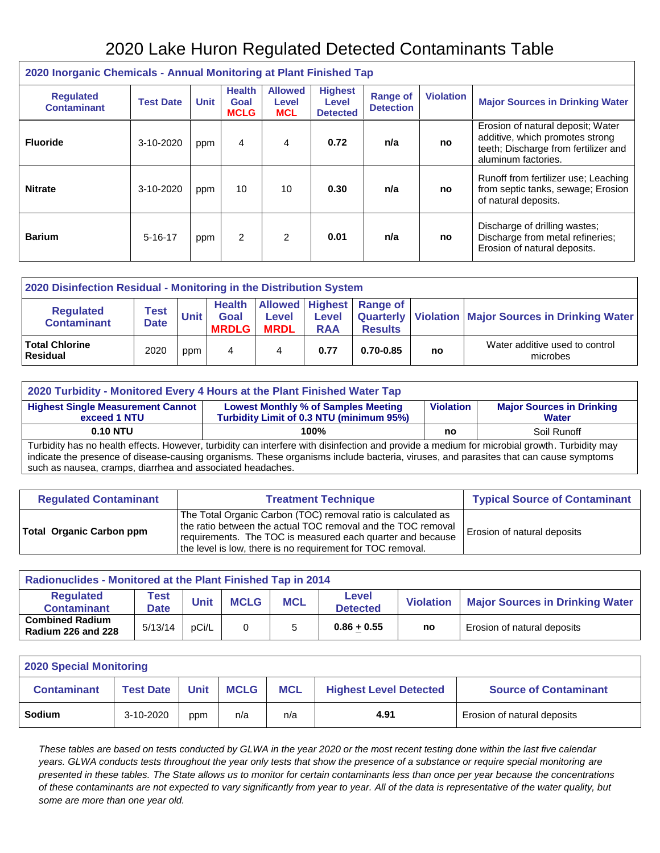### 2020 Lake Huron Regulated Detected Contaminants Table

| 2020 Inorganic Chemicals - Annual Monitoring at Plant Finished Tap |                  |             |                                      |                                       |                                            |                                     |                  |                                                                                                                                     |  |  |  |
|--------------------------------------------------------------------|------------------|-------------|--------------------------------------|---------------------------------------|--------------------------------------------|-------------------------------------|------------------|-------------------------------------------------------------------------------------------------------------------------------------|--|--|--|
| <b>Requlated</b><br><b>Contaminant</b>                             | <b>Test Date</b> | <b>Unit</b> | <b>Health</b><br>Goal<br><b>MCLG</b> | <b>Allowed</b><br>Level<br><b>MCL</b> | <b>Highest</b><br>Level<br><b>Detected</b> | <b>Range of</b><br><b>Detection</b> | <b>Violation</b> | <b>Major Sources in Drinking Water</b>                                                                                              |  |  |  |
| <b>Fluoride</b>                                                    | 3-10-2020        | ppm         | 4                                    | 4                                     | 0.72                                       | n/a                                 | no               | Erosion of natural deposit; Water<br>additive, which promotes strong<br>teeth; Discharge from fertilizer and<br>aluminum factories. |  |  |  |
| <b>Nitrate</b>                                                     | 3-10-2020        | ppm         | 10                                   | 10                                    | 0.30                                       | n/a                                 | <b>no</b>        | Runoff from fertilizer use; Leaching<br>from septic tanks, sewage; Erosion<br>of natural deposits.                                  |  |  |  |
| <b>Barium</b>                                                      | $5 - 16 - 17$    | ppm         | 2                                    | 2                                     | 0.01                                       | n/a                                 | no               | Discharge of drilling wastes;<br>Discharge from metal refineries;<br>Erosion of natural deposits.                                   |  |  |  |

| 2020 Disinfection Residual - Monitoring in the Distribution System |                     |      |                                              |                             |                            |                                            |    |                                                         |  |  |  |
|--------------------------------------------------------------------|---------------------|------|----------------------------------------------|-----------------------------|----------------------------|--------------------------------------------|----|---------------------------------------------------------|--|--|--|
| <b>Regulated</b><br><b>Contaminant</b>                             | Test<br><b>Date</b> | Unit | <b>Health</b><br><b>Goal</b><br><b>MRDLG</b> | <b>Level</b><br><b>MRDL</b> | <b>Level</b><br><b>RAA</b> | Allowed Highest Range of<br><b>Results</b> |    | Quarterly   Violation   Major Sources in Drinking Water |  |  |  |
| <b>Total Chlorine</b><br>Residual                                  | 2020                | ppm  | 4                                            |                             | 0.77                       | $0.70 - 0.85$                              | no | Water additive used to control<br>microbes              |  |  |  |

| 2020 Turbidity - Monitored Every 4 Hours at the Plant Finished Water Tap                                                                                                                                                                                                                                                                           |  |  |  |  |  |  |  |  |  |  |
|----------------------------------------------------------------------------------------------------------------------------------------------------------------------------------------------------------------------------------------------------------------------------------------------------------------------------------------------------|--|--|--|--|--|--|--|--|--|--|
| <b>Highest Single Measurement Cannot</b><br><b>Lowest Monthly % of Samples Meeting</b><br><b>Major Sources in Drinking</b><br><b>Violation</b><br>Turbidity Limit of 0.3 NTU (minimum 95%)<br>exceed 1 NTU<br>Water                                                                                                                                |  |  |  |  |  |  |  |  |  |  |
| <b>0.10 NTU</b><br>Soil Runoff<br>100%<br>no                                                                                                                                                                                                                                                                                                       |  |  |  |  |  |  |  |  |  |  |
| Turbidity has no health effects. However, turbidity can interfere with disinfection and provide a medium for microbial growth. Turbidity may<br>indicate the presence of disease-causing organisms. These organisms include bacteria, viruses, and parasites that can cause symptoms<br>such as nausea, cramps, diarrhea and associated headaches. |  |  |  |  |  |  |  |  |  |  |

| <b>Regulated Contaminant</b>    | <b>Treatment Technique</b>                                                                                                                                                                                                                                |                                    |  |  |  |  |  |
|---------------------------------|-----------------------------------------------------------------------------------------------------------------------------------------------------------------------------------------------------------------------------------------------------------|------------------------------------|--|--|--|--|--|
| <b>Total Organic Carbon ppm</b> | The Total Organic Carbon (TOC) removal ratio is calculated as<br>the ratio between the actual TOC removal and the TOC removal<br>requirements. The TOC is measured each quarter and because<br>the level is low, there is no requirement for TOC removal. | <b>Erosion of natural deposits</b> |  |  |  |  |  |

| <b>Radionuclides - Monitored at the Plant Finished Tap in 2014</b> |                     |             |             |            |                          |                  |                                        |  |  |  |  |
|--------------------------------------------------------------------|---------------------|-------------|-------------|------------|--------------------------|------------------|----------------------------------------|--|--|--|--|
| Regulated<br><b>Contaminant</b>                                    | Test<br><b>Date</b> | <b>Unit</b> | <b>MCLG</b> | <b>MCL</b> | Level<br><b>Detected</b> | <b>Violation</b> | <b>Major Sources in Drinking Water</b> |  |  |  |  |
| <b>Combined Radium</b><br><b>Radium 226 and 228</b>                | 5/13/14             | pCi/L       |             |            | $0.86 + 0.55$            | no               | Erosion of natural deposits            |  |  |  |  |

| <b>2020 Special Monitoring</b> |                  |      |             |            |                               |                              |  |  |  |  |  |
|--------------------------------|------------------|------|-------------|------------|-------------------------------|------------------------------|--|--|--|--|--|
| <b>Contaminant</b>             | <b>Test Date</b> | Jnit | <b>MCLG</b> | <b>MCL</b> | <b>Highest Level Detected</b> | <b>Source of Contaminant</b> |  |  |  |  |  |
| Sodium                         | 3-10-2020        | ppm  | n/a         | n/a        | 4.91                          | Erosion of natural deposits  |  |  |  |  |  |

*These tables are based on tests conducted by GLWA in the year 2020 or the most recent testing done within the last five calendar years. GLWA conducts tests throughout the year only tests that show the presence of a substance or require special monitoring are presented in these tables. The State allows us to monitor for certain contaminants less than once per year because the concentrations of these contaminants are not expected to vary significantly from year to year. All of the data is representative of the water quality, but some are more than one year old.*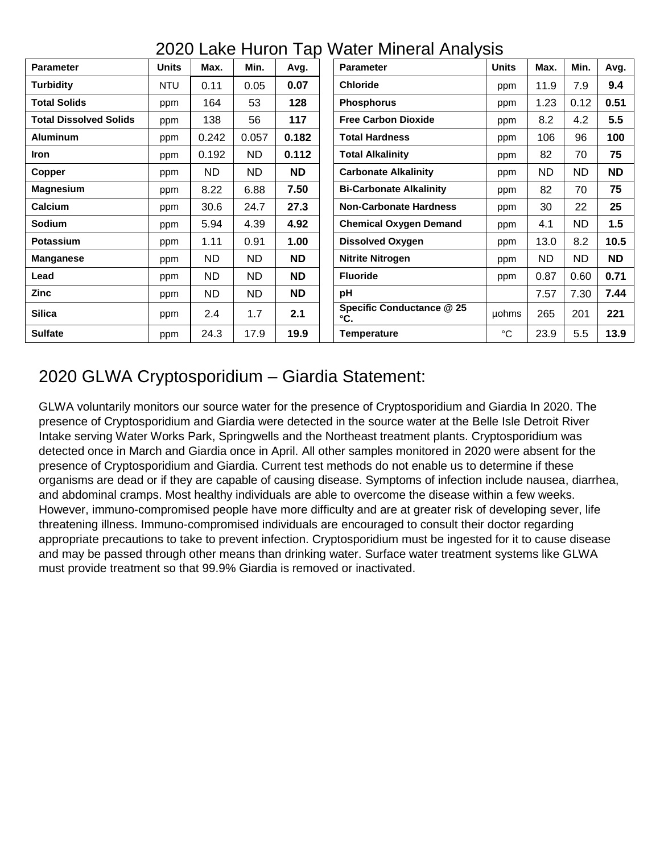|  |  | 2020 Lake Huron Tap Water Mineral Analysis |  |
|--|--|--------------------------------------------|--|
|  |  |                                            |  |

| <b>Parameter</b>              | <b>Units</b> | Max.      | Min.      | Avg.      | <b>Parameter</b>                 | <b>Units</b> | Max.      | Min.      | Avg. |
|-------------------------------|--------------|-----------|-----------|-----------|----------------------------------|--------------|-----------|-----------|------|
| <b>Turbidity</b>              | <b>NTU</b>   | 0.11      | 0.05      | 0.07      | <b>Chloride</b>                  | ppm          | 11.9      | 7.9       | 9.4  |
| <b>Total Solids</b>           | ppm          | 164       | 53        | 128       | <b>Phosphorus</b>                | ppm          | 1.23      | 0.12      | 0.51 |
| <b>Total Dissolved Solids</b> | ppm          | 138       | 56        | 117       | <b>Free Carbon Dioxide</b>       | ppm          | 8.2       | 4.2       | 5.5  |
| <b>Aluminum</b>               | ppm          | 0.242     | 0.057     | 0.182     | <b>Total Hardness</b>            | ppm          | 106       | 96        | 100  |
| Iron                          | ppm          | 0.192     | <b>ND</b> | 0.112     | <b>Total Alkalinity</b>          | ppm          | 82        | 70        | 75   |
| Copper                        | ppm          | <b>ND</b> | <b>ND</b> | <b>ND</b> | <b>Carbonate Alkalinity</b>      | ppm          | <b>ND</b> | <b>ND</b> | ND   |
| Magnesium                     | ppm          | 8.22      | 6.88      | 7.50      | <b>Bi-Carbonate Alkalinity</b>   | ppm          | 82        | 70        | 75   |
| <b>Calcium</b>                | ppm          | 30.6      | 24.7      | 27.3      | <b>Non-Carbonate Hardness</b>    | ppm          | 30        | 22        | 25   |
| Sodium                        | ppm          | 5.94      | 4.39      | 4.92      | <b>Chemical Oxygen Demand</b>    | ppm          | 4.1       | <b>ND</b> | 1.5  |
| Potassium                     | ppm          | 1.11      | 0.91      | 1.00      | <b>Dissolved Oxygen</b>          | ppm          | 13.0      | 8.2       | 10.5 |
| <b>Manganese</b>              | ppm          | <b>ND</b> | <b>ND</b> | <b>ND</b> | <b>Nitrite Nitrogen</b>          | ppm          | <b>ND</b> | <b>ND</b> | ND.  |
| Lead                          | ppm          | <b>ND</b> | ND.       | <b>ND</b> | <b>Fluoride</b>                  | ppm          | 0.87      | 0.60      | 0.71 |
| Zinc                          | ppm          | <b>ND</b> | <b>ND</b> | <b>ND</b> | рH                               |              | 7.57      | 7.30      | 7.44 |
| <b>Silica</b>                 | ppm          | 2.4       | 1.7       | 2.1       | Specific Conductance @ 25<br>°Ċ. | <b>µohms</b> | 265       | 201       | 221  |
| <b>Sulfate</b>                | ppm          | 24.3      | 17.9      | 19.9      | <b>Temperature</b>               | °C           | 23.9      | 5.5       | 13.9 |

### 2020 GLWA Cryptosporidium – Giardia Statement:

GLWA voluntarily monitors our source water for the presence of Cryptosporidium and Giardia In 2020. The presence of Cryptosporidium and Giardia were detected in the source water at the Belle Isle Detroit River Intake serving Water Works Park, Springwells and the Northeast treatment plants. Cryptosporidium was detected once in March and Giardia once in April. All other samples monitored in 2020 were absent for the presence of Cryptosporidium and Giardia. Current test methods do not enable us to determine if these organisms are dead or if they are capable of causing disease. Symptoms of infection include nausea, diarrhea, and abdominal cramps. Most healthy individuals are able to overcome the disease within a few weeks. However, immuno-compromised people have more difficulty and are at greater risk of developing sever, life threatening illness. Immuno-compromised individuals are encouraged to consult their doctor regarding appropriate precautions to take to prevent infection. Cryptosporidium must be ingested for it to cause disease and may be passed through other means than drinking water. Surface water treatment systems like GLWA must provide treatment so that 99.9% Giardia is removed or inactivated.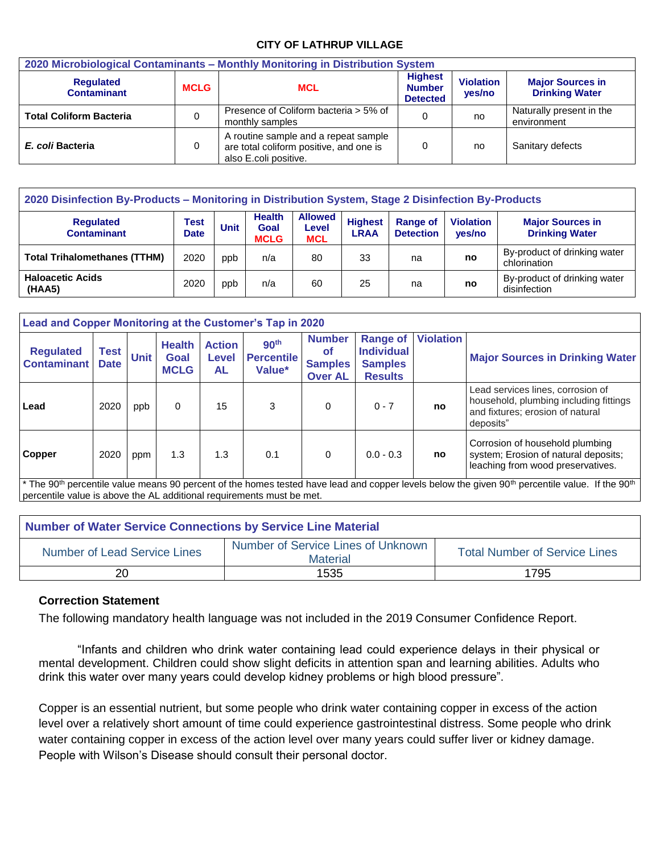#### **CITY OF LATHRUP VILLAGE**

| 2020 Microbiological Contaminants - Monthly Monitoring in Distribution System |             |                                                                                                          |  |                            |                                                  |  |  |  |  |  |
|-------------------------------------------------------------------------------|-------------|----------------------------------------------------------------------------------------------------------|--|----------------------------|--------------------------------------------------|--|--|--|--|--|
| <b>Regulated</b><br><b>Contaminant</b>                                        | <b>MCLG</b> | <b>Highest</b><br><b>MCL</b><br><b>Number</b><br><b>Detected</b>                                         |  | <b>Violation</b><br>yes/no | <b>Major Sources in</b><br><b>Drinking Water</b> |  |  |  |  |  |
| <b>Total Coliform Bacteria</b>                                                |             | Presence of Coliform bacteria > 5% of<br>monthly samples                                                 |  | no                         | Naturally present in the<br>environment          |  |  |  |  |  |
| E. coli Bacteria                                                              |             | A routine sample and a repeat sample<br>are total coliform positive, and one is<br>also E.coli positive. |  | no                         | Sanitary defects                                 |  |  |  |  |  |

| 2020 Disinfection By-Products - Monitoring in Distribution System, Stage 2 Disinfection By-Products |                            |                                                     |     |                                       |                                                                      |    |                            |                                                  |  |  |  |
|-----------------------------------------------------------------------------------------------------|----------------------------|-----------------------------------------------------|-----|---------------------------------------|----------------------------------------------------------------------|----|----------------------------|--------------------------------------------------|--|--|--|
| <b>Requlated</b><br><b>Contaminant</b>                                                              | <b>Test</b><br><b>Date</b> | <b>Health</b><br><b>Unit</b><br>Goal<br><b>MCLG</b> |     | <b>Allowed</b><br>Level<br><b>MCL</b> | <b>Highest</b><br><b>Range of</b><br><b>LRAA</b><br><b>Detection</b> |    | <b>Violation</b><br>yes/no | <b>Major Sources in</b><br><b>Drinking Water</b> |  |  |  |
| <b>Total Trihalomethanes (TTHM)</b>                                                                 | 2020                       | ppb                                                 | n/a | 80                                    | 33                                                                   | na | no                         | By-product of drinking water<br>chlorination     |  |  |  |
| <b>Haloacetic Acids</b><br>(HAA5)                                                                   | 2020                       | ppb                                                 | n/a | 60                                    | 25                                                                   | na | no                         | By-product of drinking water<br>disinfection     |  |  |  |

| Lead and Copper Monitoring at the Customer's Tap in 2020 |                     |             |                                      |                              |                                                 |                                                                |                                                                          |                  |                                                                                                                                                                                                                                                |  |
|----------------------------------------------------------|---------------------|-------------|--------------------------------------|------------------------------|-------------------------------------------------|----------------------------------------------------------------|--------------------------------------------------------------------------|------------------|------------------------------------------------------------------------------------------------------------------------------------------------------------------------------------------------------------------------------------------------|--|
| <b>Regulated</b><br><b>Contaminant</b>                   | Test<br><b>Date</b> | <b>Unit</b> | <b>Health</b><br>Goal<br><b>MCLG</b> | <b>Action</b><br>Level<br>AL | 90 <sup>th</sup><br><b>Percentile</b><br>Value* | <b>Number</b><br><b>of</b><br><b>Samples</b><br><b>Over AL</b> | <b>Range of</b><br><b>Individual</b><br><b>Samples</b><br><b>Results</b> | <b>Violation</b> | <b>Major Sources in Drinking Water</b>                                                                                                                                                                                                         |  |
| l Lead                                                   | 2020                | ppb         | 0                                    | 15                           | 3                                               | 0                                                              | $0 - 7$                                                                  | no               | Lead services lines, corrosion of<br>household, plumbing including fittings<br>and fixtures; erosion of natural<br>deposits"                                                                                                                   |  |
| <b>Copper</b>                                            | 2020                | ppm         | 1.3                                  | 1.3                          | 0.1                                             | 0                                                              | $0.0 - 0.3$                                                              | no               | Corrosion of household plumbing<br>system; Erosion of natural deposits;<br>leaching from wood preservatives.<br>$\star$ The AOther control control conservative to the home control here the device the conservative and the COST in the COST. |  |

The 90<sup>th</sup> percentile value means 90 percent of the homes tested have lead and copper levels below the given 90<sup>th</sup> percentile value. If the 90<sup>th</sup> percentile value is above the AL additional requirements must be met.

| <b>Number of Water Service Connections by Service Line Material</b> |                                                       |                                      |  |  |  |  |  |  |  |
|---------------------------------------------------------------------|-------------------------------------------------------|--------------------------------------|--|--|--|--|--|--|--|
| <b>Number of Lead Service Lines</b>                                 | Number of Service Lines of Unknown<br><b>Material</b> | <b>Total Number of Service Lines</b> |  |  |  |  |  |  |  |
| 20                                                                  | 1535                                                  | 1795                                 |  |  |  |  |  |  |  |

### **Correction Statement**

The following mandatory health language was not included in the 2019 Consumer Confidence Report.

"Infants and children who drink water containing lead could experience delays in their physical or mental development. Children could show slight deficits in attention span and learning abilities. Adults who drink this water over many years could develop kidney problems or high blood pressure".

Copper is an essential nutrient, but some people who drink water containing copper in excess of the action level over a relatively short amount of time could experience gastrointestinal distress. Some people who drink water containing copper in excess of the action level over many years could suffer liver or kidney damage. People with Wilson's Disease should consult their personal doctor.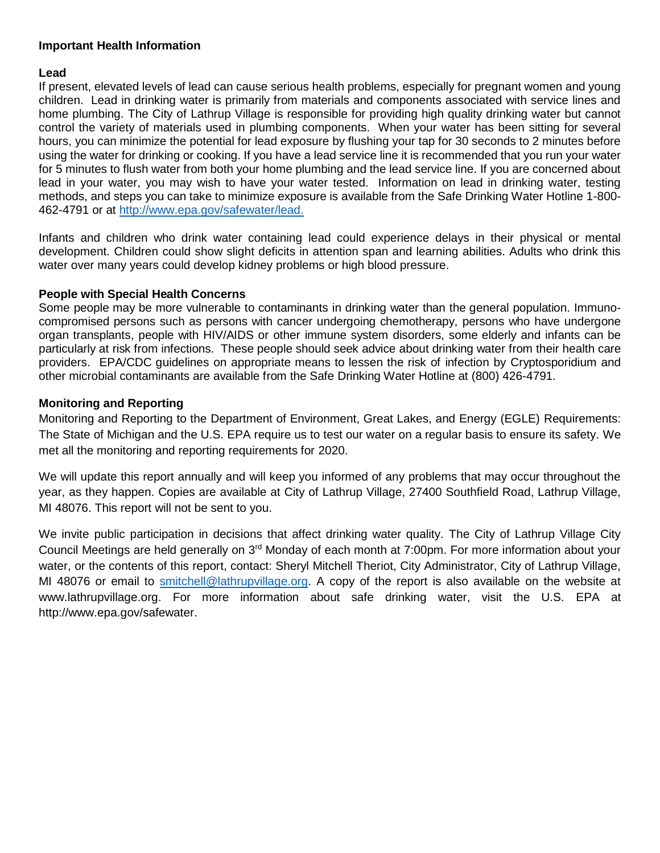### **Important Health Information**

### **Lead**

If present, elevated levels of lead can cause serious health problems, especially for pregnant women and young children. Lead in drinking water is primarily from materials and components associated with service lines and home plumbing. The City of Lathrup Village is responsible for providing high quality drinking water but cannot control the variety of materials used in plumbing components. When your water has been sitting for several hours, you can minimize the potential for lead exposure by flushing your tap for 30 seconds to 2 minutes before using the water for drinking or cooking. If you have a lead service line it is recommended that you run your water for 5 minutes to flush water from both your home plumbing and the lead service line. If you are concerned about lead in your water, you may wish to have your water tested. Information on lead in drinking water, testing methods, and steps you can take to minimize exposure is available from the Safe Drinking Water Hotline 1-800- 462-4791 or at [http://www.epa.gov/safewater/lead.](http://www.epa.gov/safewater/lead)

Infants and children who drink water containing lead could experience delays in their physical or mental development. Children could show slight deficits in attention span and learning abilities. Adults who drink this water over many years could develop kidney problems or high blood pressure.

#### **People with Special Health Concerns**

Some people may be more vulnerable to contaminants in drinking water than the general population. Immunocompromised persons such as persons with cancer undergoing chemotherapy, persons who have undergone organ transplants, people with HIV/AIDS or other immune system disorders, some elderly and infants can be particularly at risk from infections. These people should seek advice about drinking water from their health care providers. EPA/CDC guidelines on appropriate means to lessen the risk of infection by Cryptosporidium and other microbial contaminants are available from the Safe Drinking Water Hotline at (800) 426-4791.

#### **Monitoring and Reporting**

Monitoring and Reporting to the Department of Environment, Great Lakes, and Energy (EGLE) Requirements: The State of Michigan and the U.S. EPA require us to test our water on a regular basis to ensure its safety. We met all the monitoring and reporting requirements for 2020.

We will update this report annually and will keep you informed of any problems that may occur throughout the year, as they happen. Copies are available at City of Lathrup Village, 27400 Southfield Road, Lathrup Village, MI 48076. This report will not be sent to you.

We invite public participation in decisions that affect drinking water quality. The City of Lathrup Village City Council Meetings are held generally on 3rd Monday of each month at 7:00pm. For more information about your water, or the contents of this report, contact: Sheryl Mitchell Theriot, City Administrator, City of Lathrup Village, MI 48076 or email to [smitchell@lathrupvillage.org.](mailto:smitchell@lathrupvillage.org) A copy of the report is also available on the website at www.lathrupvillage.org. For more information about safe drinking water, visit the U.S. EPA at http://www.epa.gov/safewater.